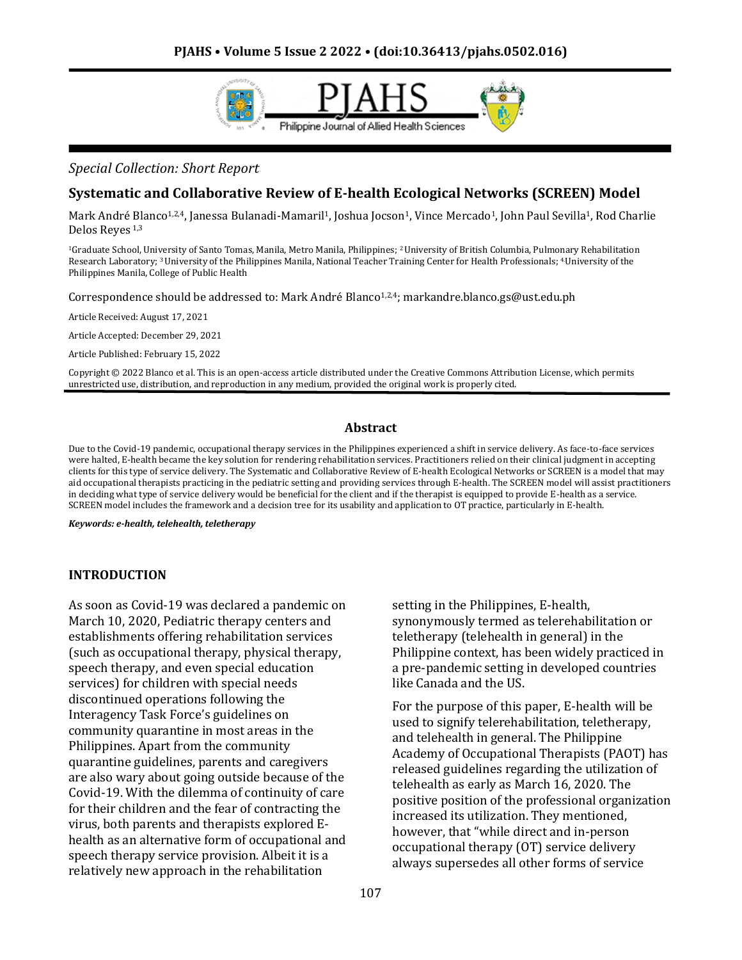

### *Special Collection: Short Report*

### **Systematic and Collaborative Review of E-health Ecological Networks (SCREEN) Model**

Mark André Blanco<sup>1,2,4</sup>, Janessa Bulanadi-Mamaril<sup>1</sup>, Joshua Jocson<sup>1</sup>, Vince Mercado<sup>1</sup>, John Paul Sevilla<sup>1</sup>, Rod Charlie Delos Reyes 1,3

<sup>1</sup>Graduate School, University of Santo Tomas, Manila, Metro Manila, Philippines; <sup>2</sup> University of British Columbia, Pulmonary Rehabilitation Research Laboratory; 3 University of the Philippines Manila, National Teacher Training Center for Health Professionals; 4.University of the Philippines Manila, College of Public Health

Correspondence should be addressed to: Mark André Blanco $1,2,4$ ; markandre.blanco.gs@ust.edu.ph

Article Received: August 17, 2021

Article Accepted: December 29, 2021

Article Published: February 15, 2022

Copyright © 2022 Blanco et al. This is an open-access article distributed under the Creative Commons Attribution License, which permits unrestricted use, distribution, and reproduction in any medium, provided the original work is properly cited.

#### **Abstract**

Due to the Covid-19 pandemic, occupational therapy services in the Philippines experienced a shift in service delivery. As face-to-face services were halted, E-health became the key solution for rendering rehabilitation services. Practitioners relied on their clinical judgment in accepting clients for this type of service delivery. The Systematic and Collaborative Review of E-health Ecological Networks or SCREEN is a model that may aid occupational therapists practicing in the pediatric setting and providing services through E-health. The SCREEN model will assist practitioners in deciding what type of service delivery would be beneficial for the client and if the therapist is equipped to provide E-health as a service. SCREEN model includes the framework and a decision tree for its usability and application to OT practice, particularly in E-health.

*Keywords: e-health, telehealth, teletherapy*

#### **INTRODUCTION**

As soon as Covid-19 was declared a pandemic on March 10, 2020, Pediatric therapy centers and establishments offering rehabilitation services (such as occupational therapy, physical therapy, speech therapy, and even special education services) for children with special needs discontinued operations following the Interagency Task Force's guidelines on community quarantine in most areas in the Philippines. Apart from the community quarantine guidelines, parents and caregivers are also wary about going outside because of the Covid-19. With the dilemma of continuity of care for their children and the fear of contracting the virus, both parents and therapists explored Ehealth as an alternative form of occupational and speech therapy service provision. Albeit it is a relatively new approach in the rehabilitation

setting in the Philippines, E-health, synonymously termed as telerehabilitation or teletherapy (telehealth in general) in the Philippine context, has been widely practiced in a pre-pandemic setting in developed countries like Canada and the US.

For the purpose of this paper, E-health will be used to signify telerehabilitation, teletherapy, and telehealth in general. The Philippine Academy of Occupational Therapists (PAOT) has released guidelines regarding the utilization of telehealth as early as March 16, 2020. The positive position of the professional organization increased its utilization. They mentioned, however, that "while direct and in-person occupational therapy (OT) service delivery always supersedes all other forms of service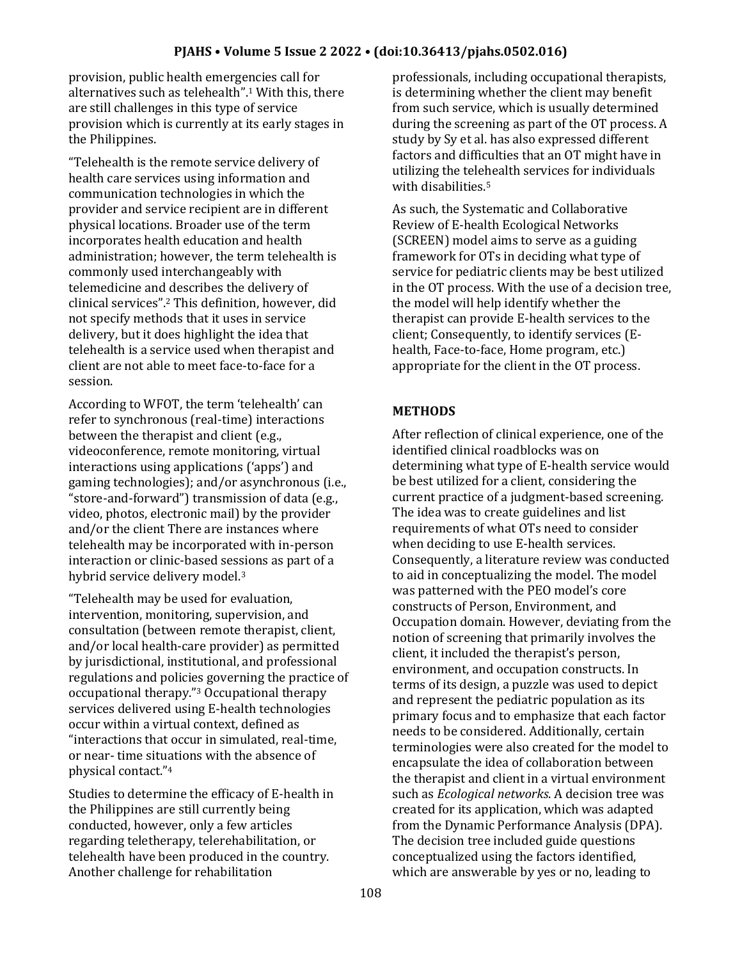provision, public health emergencies call for alternatives such as telehealth".<sup>1</sup> With this, there are still challenges in this type of service provision which is currently at its early stages in the Philippines.

"Telehealth is the remote service delivery of health care services using information and communication technologies in which the provider and service recipient are in different physical locations. Broader use of the term incorporates health education and health administration; however, the term telehealth is commonly used interchangeably with telemedicine and describes the delivery of clinical services".<sup>2</sup> This definition, however, did not specify methods that it uses in service delivery, but it does highlight the idea that telehealth is a service used when therapist and client are not able to meet face-to-face for a session.

According to WFOT, the term 'telehealth' can refer to synchronous (real-time) interactions between the therapist and client (e.g., videoconference, remote monitoring, virtual interactions using applications ('apps') and gaming technologies); and/or asynchronous (i.e., "store-and-forward") transmission of data (e.g., video, photos, electronic mail) by the provider and/or the client There are instances where telehealth may be incorporated with in-person interaction or clinic-based sessions as part of a hybrid service delivery model.<sup>3</sup>

"Telehealth may be used for evaluation, intervention, monitoring, supervision, and consultation (between remote therapist, client, and/or local health-care provider) as permitted by jurisdictional, institutional, and professional regulations and policies governing the practice of occupational therapy."<sup>3</sup> Occupational therapy services delivered using E-health technologies occur within a virtual context, defined as "interactions that occur in simulated, real-time, or near- time situations with the absence of physical contact."<sup>4</sup>

Studies to determine the efficacy of E-health in the Philippines are still currently being conducted, however, only a few articles regarding teletherapy, telerehabilitation, or telehealth have been produced in the country. Another challenge for rehabilitation

professionals, including occupational therapists, is determining whether the client may benefit from such service, which is usually determined during the screening as part of the OT process. A study by Sy et al. has also expressed different factors and difficulties that an OT might have in utilizing the telehealth services for individuals with disabilities.<sup>5</sup>

As such, the Systematic and Collaborative Review of E-health Ecological Networks (SCREEN) model aims to serve as a guiding framework for OTs in deciding what type of service for pediatric clients may be best utilized in the OT process. With the use of a decision tree, the model will help identify whether the therapist can provide E-health services to the client; Consequently, to identify services (Ehealth, Face-to-face, Home program, etc.) appropriate for the client in the OT process.

## **METHODS**

After reflection of clinical experience, one of the identified clinical roadblocks was on determining what type of E-health service would be best utilized for a client, considering the current practice of a judgment-based screening. The idea was to create guidelines and list requirements of what OTs need to consider when deciding to use E-health services. Consequently, a literature review was conducted to aid in conceptualizing the model. The model was patterned with the PEO model's core constructs of Person, Environment, and Occupation domain. However, deviating from the notion of screening that primarily involves the client, it included the therapist's person, environment, and occupation constructs. In terms of its design, a puzzle was used to depict and represent the pediatric population as its primary focus and to emphasize that each factor needs to be considered. Additionally, certain terminologies were also created for the model to encapsulate the idea of collaboration between the therapist and client in a virtual environment such as *Ecological networks*. A decision tree was created for its application, which was adapted from the Dynamic Performance Analysis (DPA). The decision tree included guide questions conceptualized using the factors identified, which are answerable by yes or no, leading to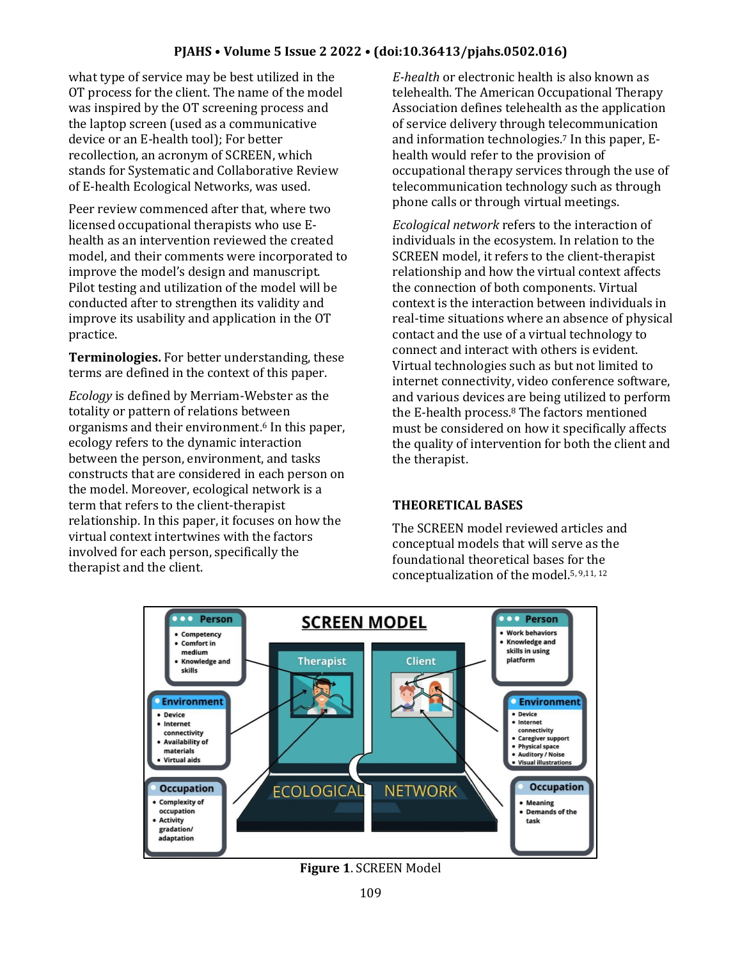what type of service may be best utilized in the OT process for the client. The name of the model was inspired by the OT screening process and the laptop screen (used as a communicative device or an E-health tool); For better recollection, an acronym of SCREEN, which stands for Systematic and Collaborative Review of E-health Ecological Networks, was used.

Peer review commenced after that, where two licensed occupational therapists who use Ehealth as an intervention reviewed the created model, and their comments were incorporated to improve the model's design and manuscript. Pilot testing and utilization of the model will be conducted after to strengthen its validity and improve its usability and application in the OT practice.

**Terminologies.** For better understanding, these terms are defined in the context of this paper.

*Ecology* is defined by Merriam-Webster as the totality or pattern of relations between organisms and their environment.<sup>6</sup> In this paper, ecology refers to the dynamic interaction between the person, environment, and tasks constructs that are considered in each person on the model. Moreover, ecological network is a term that refers to the client-therapist relationship. In this paper, it focuses on how the virtual context intertwines with the factors involved for each person, specifically the therapist and the client.

*E-health* or electronic health is also known as telehealth. The American Occupational Therapy Association defines telehealth as the application of service delivery through telecommunication and information technologies.<sup>7</sup> In this paper, Ehealth would refer to the provision of occupational therapy services through the use of telecommunication technology such as through phone calls or through virtual meetings.

*Ecological network* refers to the interaction of individuals in the ecosystem. In relation to the SCREEN model, it refers to the client-therapist relationship and how the virtual context affects the connection of both components. Virtual context is the interaction between individuals in real-time situations where an absence of physical contact and the use of a virtual technology to connect and interact with others is evident. Virtual technologies such as but not limited to internet connectivity, video conference software, and various devices are being utilized to perform the E-health process.<sup>8</sup> The factors mentioned must be considered on how it specifically affects the quality of intervention for both the client and the therapist.

### **THEORETICAL BASES**

The SCREEN model reviewed articles and conceptual models that will serve as the foundational theoretical bases for the conceptualization of the model.5, 9,11, 12



**Figure 1**. SCREEN Model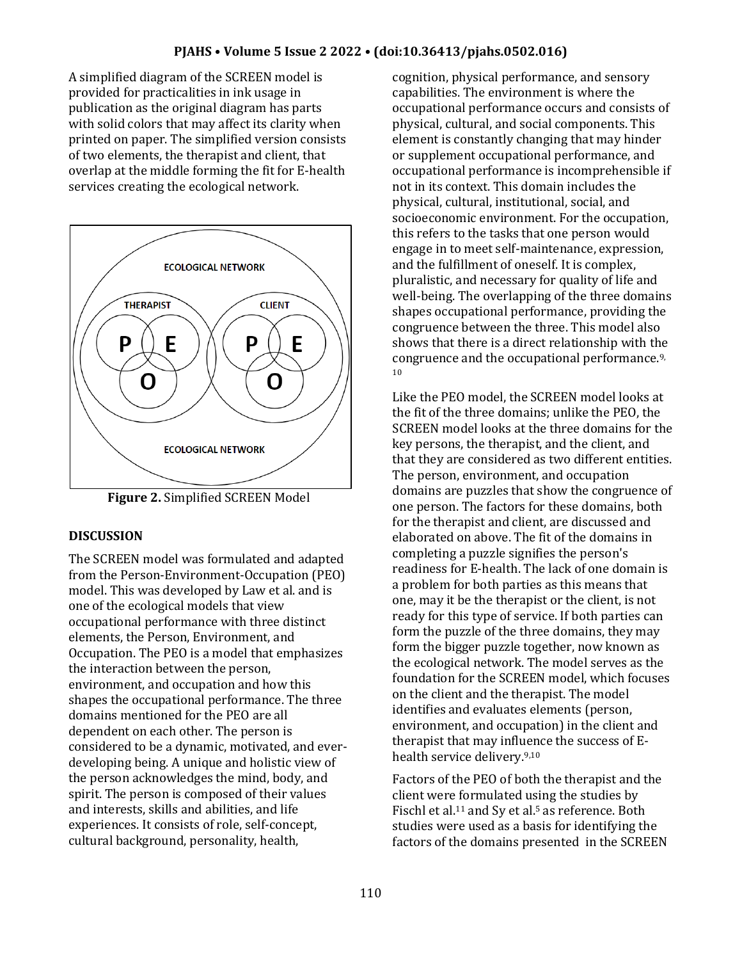A simplified diagram of the SCREEN model is provided for practicalities in ink usage in publication as the original diagram has parts with solid colors that may affect its clarity when printed on paper. The simplified version consists of two elements, the therapist and client, that overlap at the middle forming the fit for E-health services creating the ecological network.



**Figure 2.** Simplified SCREEN Model

# **DISCUSSION**

The SCREEN model was formulated and adapted from the Person-Environment-Occupation (PEO) model. This was developed by Law et al. and is one of the ecological models that view occupational performance with three distinct elements, the Person, Environment, and Occupation. The PEO is a model that emphasizes the interaction between the person, environment, and occupation and how this shapes the occupational performance. The three domains mentioned for the PEO are all dependent on each other. The person is considered to be a dynamic, motivated, and everdeveloping being. A unique and holistic view of the person acknowledges the mind, body, and spirit. The person is composed of their values and interests, skills and abilities, and life experiences. It consists of role, self-concept, cultural background, personality, health,

cognition, physical performance, and sensory capabilities. The environment is where the occupational performance occurs and consists of physical, cultural, and social components. This element is constantly changing that may hinder or supplement occupational performance, and occupational performance is incomprehensible if not in its context. This domain includes the physical, cultural, institutional, social, and socioeconomic environment. For the occupation, this refers to the tasks that one person would engage in to meet self-maintenance, expression, and the fulfillment of oneself. It is complex, pluralistic, and necessary for quality of life and well-being. The overlapping of the three domains shapes occupational performance, providing the congruence between the three. This model also shows that there is a direct relationship with the congruence and the occupational performance.9, 10

Like the PEO model, the SCREEN model looks at the fit of the three domains; unlike the PEO, the SCREEN model looks at the three domains for the key persons, the therapist, and the client, and that they are considered as two different entities. The person, environment, and occupation domains are puzzles that show the congruence of one person. The factors for these domains, both for the therapist and client, are discussed and elaborated on above. The fit of the domains in completing a puzzle signifies the person's readiness for E-health. The lack of one domain is a problem for both parties as this means that one, may it be the therapist or the client, is not ready for this type of service. If both parties can form the puzzle of the three domains, they may form the bigger puzzle together, now known as the ecological network. The model serves as the foundation for the SCREEN model, which focuses on the client and the therapist. The model identifies and evaluates elements (person, environment, and occupation) in the client and therapist that may influence the success of Ehealth service delivery.9,10

Factors of the PEO of both the therapist and the client were formulated using the studies by Fischl et al.<sup>11</sup> and Sy et al.<sup>5</sup> as reference. Both studies were used as a basis for identifying the factors of the domains presented in the SCREEN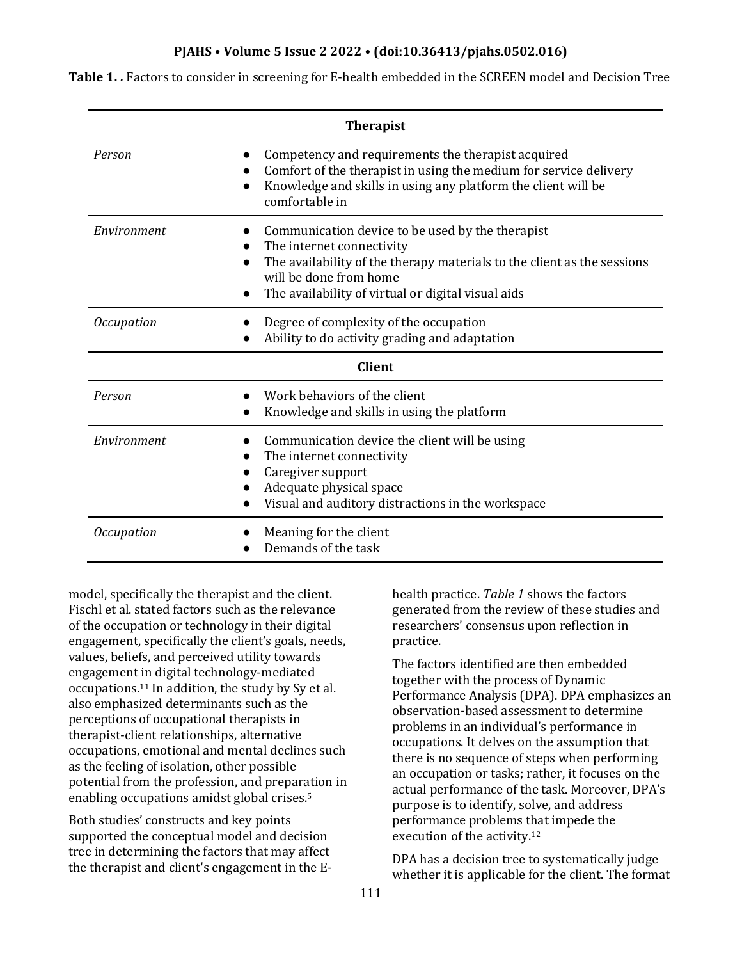**Table 1.** *.* Factors to consider in screening for E-health embedded in the SCREEN model and Decision Tree

| <b>Therapist</b>  |                                                                                                                                                                                                                                          |
|-------------------|------------------------------------------------------------------------------------------------------------------------------------------------------------------------------------------------------------------------------------------|
| Person            | Competency and requirements the therapist acquired<br>Comfort of the therapist in using the medium for service delivery<br>Knowledge and skills in using any platform the client will be<br>comfortable in                               |
| Environment       | Communication device to be used by the therapist<br>The internet connectivity<br>The availability of the therapy materials to the client as the sessions<br>will be done from home<br>The availability of virtual or digital visual aids |
| <b>Occupation</b> | Degree of complexity of the occupation<br>Ability to do activity grading and adaptation                                                                                                                                                  |
| <b>Client</b>     |                                                                                                                                                                                                                                          |
| Person            | Work behaviors of the client<br>Knowledge and skills in using the platform                                                                                                                                                               |
| Environment       | Communication device the client will be using<br>The internet connectivity<br>Caregiver support<br>Adequate physical space<br>Visual and auditory distractions in the workspace                                                          |
| <i>Occupation</i> | Meaning for the client<br>Demands of the task                                                                                                                                                                                            |

model, specifically the therapist and the client. Fischl et al. stated factors such as the relevance of the occupation or technology in their digital engagement, specifically the client's goals, needs, values, beliefs, and perceived utility towards engagement in digital technology-mediated occupations.<sup>11</sup> In addition, the study by Sy et al. also emphasized determinants such as the perceptions of occupational therapists in therapist-client relationships, alternative occupations, emotional and mental declines such as the feeling of isolation, other possible potential from the profession, and preparation in enabling occupations amidst global crises.<sup>5</sup>

Both studies' constructs and key points supported the conceptual model and decision tree in determining the factors that may affect the therapist and client's engagement in the E- health practice. *Table 1* shows the factors generated from the review of these studies and researchers' consensus upon reflection in practice.

The factors identified are then embedded together with the process of Dynamic Performance Analysis (DPA). DPA emphasizes an observation-based assessment to determine problems in an individual's performance in occupations. It delves on the assumption that there is no sequence of steps when performing an occupation or tasks; rather, it focuses on the actual performance of the task. Moreover, DPA's purpose is to identify, solve, and address performance problems that impede the execution of the activity.<sup>12</sup>

DPA has a decision tree to systematically judge whether it is applicable for the client. The format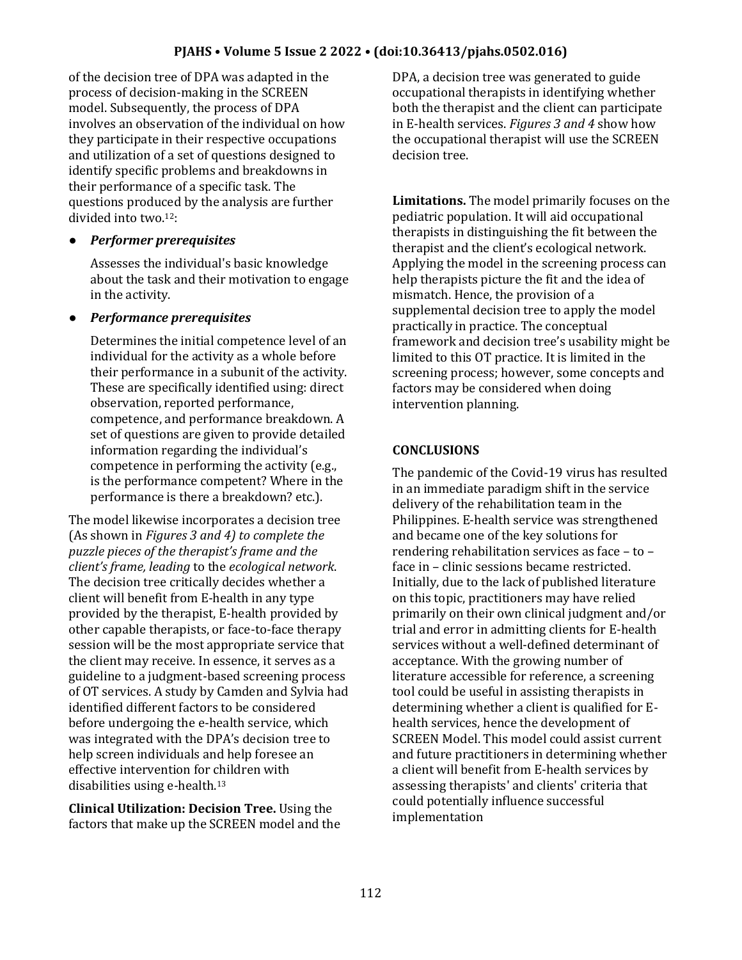of the decision tree of DPA was adapted in the process of decision-making in the SCREEN model. Subsequently, the process of DPA involves an observation of the individual on how they participate in their respective occupations and utilization of a set of questions designed to identify specific problems and breakdowns in their performance of a specific task. The questions produced by the analysis are further divided into two.12:

# ● *Performer prerequisites*

Assesses the individual's basic knowledge about the task and their motivation to engage in the activity.

# ● *Performance prerequisites*

Determines the initial competence level of an individual for the activity as a whole before their performance in a subunit of the activity. These are specifically identified using: direct observation, reported performance, competence, and performance breakdown. A set of questions are given to provide detailed information regarding the individual's competence in performing the activity (e.g., is the performance competent? Where in the performance is there a breakdown? etc.).

The model likewise incorporates a decision tree (As shown in *Figures 3 and 4) to complete the puzzle pieces of the therapist's frame and the client's frame, leading* to the *ecological network*. The decision tree critically decides whether a client will benefit from E-health in any type provided by the therapist, E-health provided by other capable therapists, or face-to-face therapy session will be the most appropriate service that the client may receive. In essence, it serves as a guideline to a judgment-based screening process of OT services. A study by Camden and Sylvia had identified different factors to be considered before undergoing the e-health service, which was integrated with the DPA's decision tree to help screen individuals and help foresee an effective intervention for children with disabilities using e-health.<sup>13</sup>

**Clinical Utilization: Decision Tree.** Using the factors that make up the SCREEN model and the DPA, a decision tree was generated to guide occupational therapists in identifying whether both the therapist and the client can participate in E-health services. *Figures 3 and 4* show how the occupational therapist will use the SCREEN decision tree.

**Limitations.** The model primarily focuses on the pediatric population. It will aid occupational therapists in distinguishing the fit between the therapist and the client's ecological network. Applying the model in the screening process can help therapists picture the fit and the idea of mismatch. Hence, the provision of a supplemental decision tree to apply the model practically in practice. The conceptual framework and decision tree's usability might be limited to this OT practice. It is limited in the screening process; however, some concepts and factors may be considered when doing intervention planning.

# **CONCLUSIONS**

The pandemic of the Covid-19 virus has resulted in an immediate paradigm shift in the service delivery of the rehabilitation team in the Philippines. E-health service was strengthened and became one of the key solutions for rendering rehabilitation services as face – to – face in – clinic sessions became restricted. Initially, due to the lack of published literature on this topic, practitioners may have relied primarily on their own clinical judgment and/or trial and error in admitting clients for E-health services without a well-defined determinant of acceptance. With the growing number of literature accessible for reference, a screening tool could be useful in assisting therapists in determining whether a client is qualified for Ehealth services, hence the development of SCREEN Model. This model could assist current and future practitioners in determining whether a client will benefit from E-health services by assessing therapists' and clients' criteria that could potentially influence successful implementation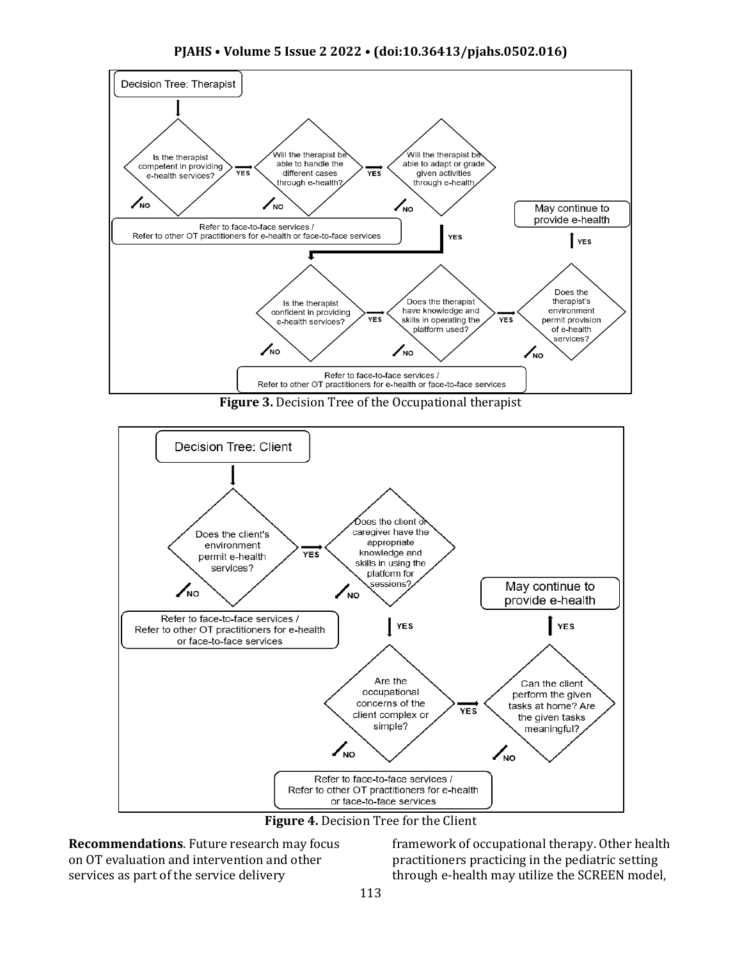





**Figure 4.** Decision Tree for the Client

**Recommendations**. Future research may focus on OT evaluation and intervention and other services as part of the service delivery

framework of occupational therapy. Other health practitioners practicing in the pediatric setting through e-health may utilize the SCREEN model,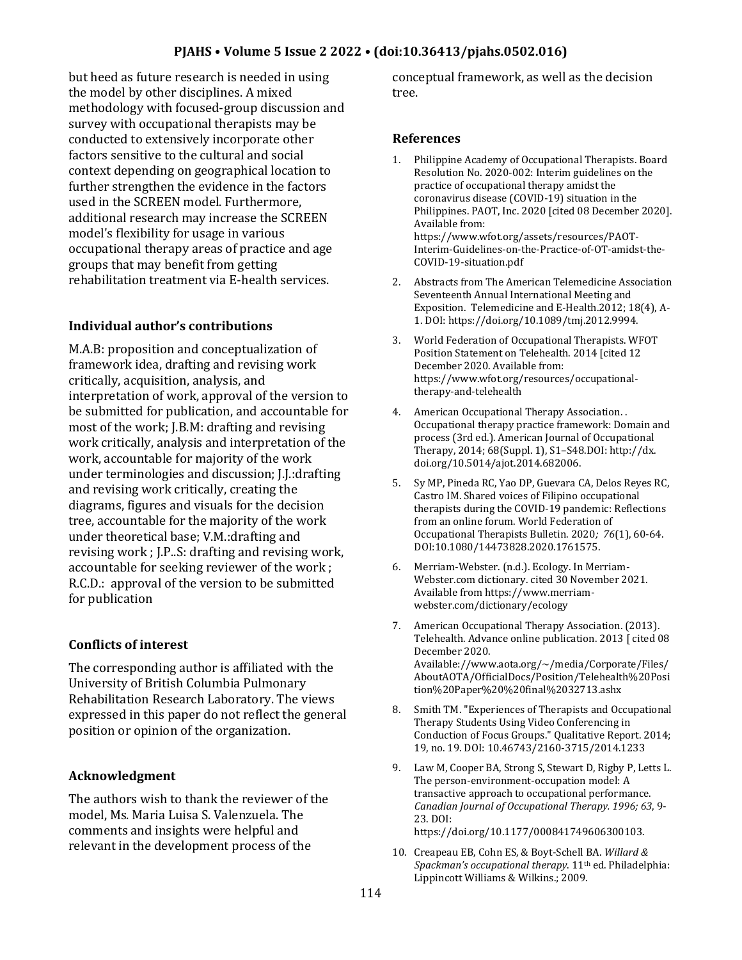but heed as future research is needed in using the model by other disciplines. A mixed methodology with focused-group discussion and survey with occupational therapists may be conducted to extensively incorporate other factors sensitive to the cultural and social context depending on geographical location to further strengthen the evidence in the factors used in the SCREEN model. Furthermore, additional research may increase the SCREEN model's flexibility for usage in various occupational therapy areas of practice and age groups that may benefit from getting rehabilitation treatment via E-health services.

### **Individual author's contributions**

M.A.B: proposition and conceptualization of framework idea, drafting and revising work critically, acquisition, analysis, and interpretation of work, approval of the version to be submitted for publication, and accountable for most of the work; J.B.M: drafting and revising work critically, analysis and interpretation of the work, accountable for majority of the work under terminologies and discussion; J.J.:drafting and revising work critically, creating the diagrams, figures and visuals for the decision tree, accountable for the majority of the work under theoretical base; V.M.:drafting and revising work ; J.P..S: drafting and revising work, accountable for seeking reviewer of the work ; R.C.D.: approval of the version to be submitted for publication

### **Conflicts of interest**

The corresponding author is affiliated with the University of British Columbia Pulmonary Rehabilitation Research Laboratory. The views expressed in this paper do not reflect the general position or opinion of the organization.

### **Acknowledgment**

The authors wish to thank the reviewer of the model, Ms. Maria Luisa S. Valenzuela. The comments and insights were helpful and relevant in the development process of the

conceptual framework, as well as the decision tree.

#### **References**

- 1. Philippine Academy of Occupational Therapists. Board Resolution No. 2020-002: Interim guidelines on the practice of occupational therapy amidst the coronavirus disease (COVID-19) situation in the Philippines. PAOT, Inc. 2020 [cited 08 December 2020]. Available from: https://www.wfot.org/assets/resources/PAOT-Interim-Guidelines-on-the-Practice-of-OT-amidst-the-COVID-19-situation.pdf
- 2. Abstracts from The American Telemedicine Association Seventeenth Annual International Meeting and Exposition. Telemedicine and E-Health.2012; 18(4), A-1. DOI: https://doi.org/10.1089/tmj.2012.9994.
- 3. World Federation of Occupational Therapists. WFOT Position Statement on Telehealth. 2014 [cited 12 December 2020. Available from: https://www.wfot.org/resources/occupationaltherapy-and-telehealth
- 4. American Occupational Therapy Association. . Occupational therapy practice framework: Domain and process (3rd ed.). American Journal of Occupational Therapy, 2014; 68(Suppl. 1), S1–S48.DOI: http://dx. doi.org/10.5014/ajot.2014.682006.
- 5. Sy MP, Pineda RC, Yao DP, Guevara CA, Delos Reyes RC, Castro IM. Shared voices of Filipino occupational therapists during the COVID-19 pandemic: Reflections from an online forum. World Federation of Occupational Therapists Bulletin. 2020*; 76*(1), 60-64. DOI:10.1080/14473828.2020.1761575.
- 6. Merriam-Webster. (n.d.). Ecology. In Merriam-Webster.com dictionary. cited 30 November 2021. Available from https://www.merriamwebster.com/dictionary/ecology
- 7. American Occupational Therapy Association. (2013). Telehealth. Advance online publication. 2013 [ cited 08 December 2020. Available://www.aota.org/~/media/Corporate/Files/ AboutAOTA/OfficialDocs/Position/Telehealth%20Posi tion%20Paper%20%20final%2032713.ashx
- 8. Smith TM. "Experiences of Therapists and Occupational Therapy Students Using Video Conferencing in Conduction of Focus Groups." Qualitative Report. 2014; 19, no. 19. DOI: 10.46743/2160-3715/2014.1233
- 9. Law M, Cooper BA, Strong S, Stewart D, Rigby P, Letts L. The person-environment-occupation model: A transactive approach to occupational performance. *Canadian Journal of Occupational Therapy. 1996; 63*, 9- 23. DOI: https://doi.org/10.1177/000841749606300103.
- 10. Creapeau EB, Cohn ES, & Boyt-Schell BA. *Willard & Spackman's occupational therapy*. 11th ed. Philadelphia: Lippincott Williams & Wilkins.; 2009.